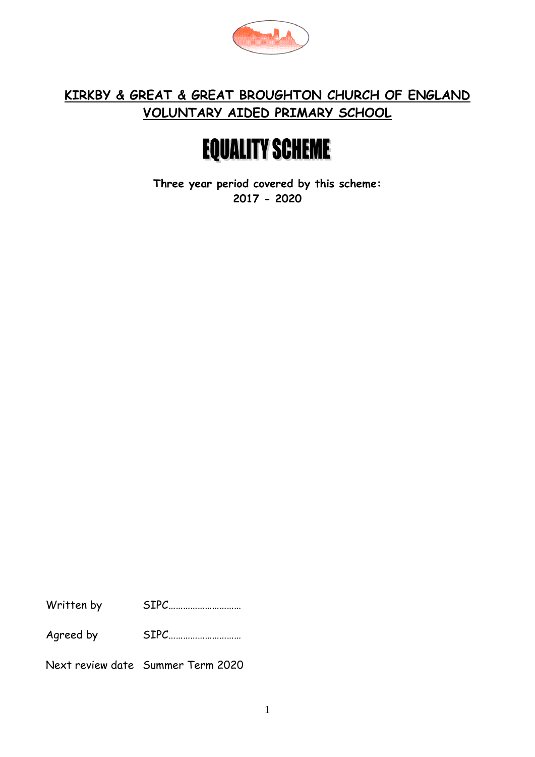

### **KIRKBY & GREAT & GREAT BROUGHTON CHURCH OF ENGLAND VOLUNTARY AIDED PRIMARY SCHOOL**

# **EQUALITY SCHEME**

**Three year period covered by this scheme: 2017 - 2020**

Written by SIPC…………………………

Agreed by SIPC…………………………

Next review date Summer Term 2020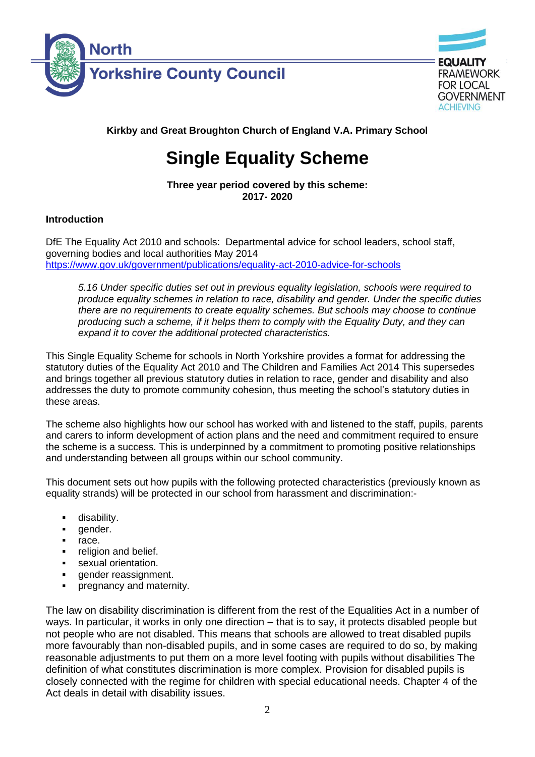



**GOVERNMENT ACHIEVING** 

**Kirkby and Great Broughton Church of England V.A. Primary School**

# **Single Equality Scheme**

**Three year period covered by this scheme: 2017- 2020**

#### **Introduction**

DfE The Equality Act 2010 and schools: Departmental advice for school leaders, school staff, governing bodies and local authorities May 2014 <https://www.gov.uk/government/publications/equality-act-2010-advice-for-schools>

*5.16 Under specific duties set out in previous equality legislation, schools were required to produce equality schemes in relation to race, disability and gender. Under the specific duties there are no requirements to create equality schemes. But schools may choose to continue producing such a scheme, if it helps them to comply with the Equality Duty, and they can expand it to cover the additional protected characteristics.*

This Single Equality Scheme for schools in North Yorkshire provides a format for addressing the statutory duties of the Equality Act 2010 and The Children and Families Act 2014 This supersedes and brings together all previous statutory duties in relation to race, gender and disability and also addresses the duty to promote community cohesion, thus meeting the school's statutory duties in these areas.

The scheme also highlights how our school has worked with and listened to the staff, pupils, parents and carers to inform development of action plans and the need and commitment required to ensure the scheme is a success. This is underpinned by a commitment to promoting positive relationships and understanding between all groups within our school community.

This document sets out how pupils with the following protected characteristics (previously known as equality strands) will be protected in our school from harassment and discrimination:-

- disability.
- gender.
- race.
- religion and belief.
- sexual orientation.
- gender reassignment.
- pregnancy and maternity.

The law on disability discrimination is different from the rest of the Equalities Act in a number of ways. In particular, it works in only one direction – that is to say, it protects disabled people but not people who are not disabled. This means that schools are allowed to treat disabled pupils more favourably than non-disabled pupils, and in some cases are required to do so, by making reasonable adjustments to put them on a more level footing with pupils without disabilities The definition of what constitutes discrimination is more complex. Provision for disabled pupils is closely connected with the regime for children with special educational needs. Chapter 4 of the Act deals in detail with disability issues.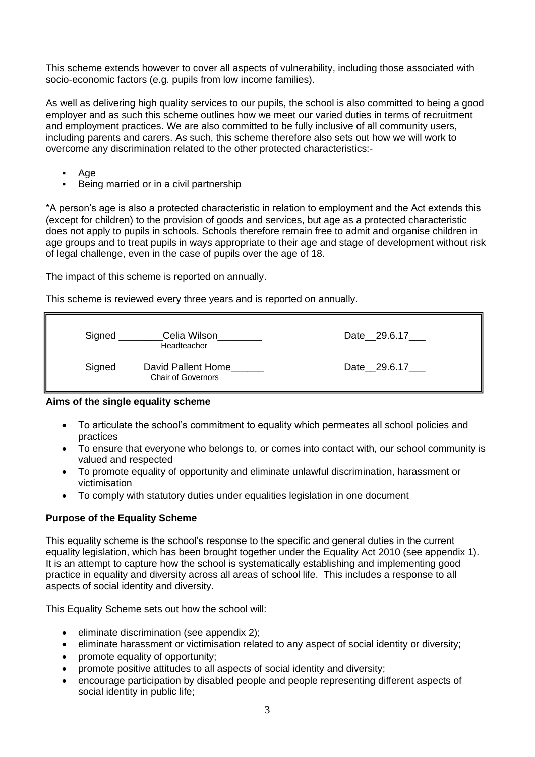This scheme extends however to cover all aspects of vulnerability, including those associated with socio-economic factors (e.g. pupils from low income families).

As well as delivering high quality services to our pupils, the school is also committed to being a good employer and as such this scheme outlines how we meet our varied duties in terms of recruitment and employment practices. We are also committed to be fully inclusive of all community users, including parents and carers. As such, this scheme therefore also sets out how we will work to overcome any discrimination related to the other protected characteristics:-

- Age
- Being married or in a civil partnership

\*A person's age is also a protected characteristic in relation to employment and the Act extends this (except for children) to the provision of goods and services, but age as a protected characteristic does not apply to pupils in schools. Schools therefore remain free to admit and organise children in age groups and to treat pupils in ways appropriate to their age and stage of development without risk of legal challenge, even in the case of pupils over the age of 18.

The impact of this scheme is reported on annually.

This scheme is reviewed every three years and is reported on annually.

| Signed | Celia Wilson<br>Headteacher                     | Date 29.6.17 |
|--------|-------------------------------------------------|--------------|
| Signed | David Pallent Home<br><b>Chair of Governors</b> | Date 29.6.17 |

#### **Aims of the single equality scheme**

- To articulate the school's commitment to equality which permeates all school policies and practices
- To ensure that everyone who belongs to, or comes into contact with, our school community is valued and respected
- To promote equality of opportunity and eliminate unlawful discrimination, harassment or victimisation
- To comply with statutory duties under equalities legislation in one document

#### **Purpose of the Equality Scheme**

This equality scheme is the school's response to the specific and general duties in the current equality legislation, which has been brought together under the Equality Act 2010 (see appendix 1). It is an attempt to capture how the school is systematically establishing and implementing good practice in equality and diversity across all areas of school life. This includes a response to all aspects of social identity and diversity.

This Equality Scheme sets out how the school will:

- eliminate discrimination (see appendix 2);
- eliminate harassment or victimisation related to any aspect of social identity or diversity;
- promote equality of opportunity;
- promote positive attitudes to all aspects of social identity and diversity;
- encourage participation by disabled people and people representing different aspects of social identity in public life;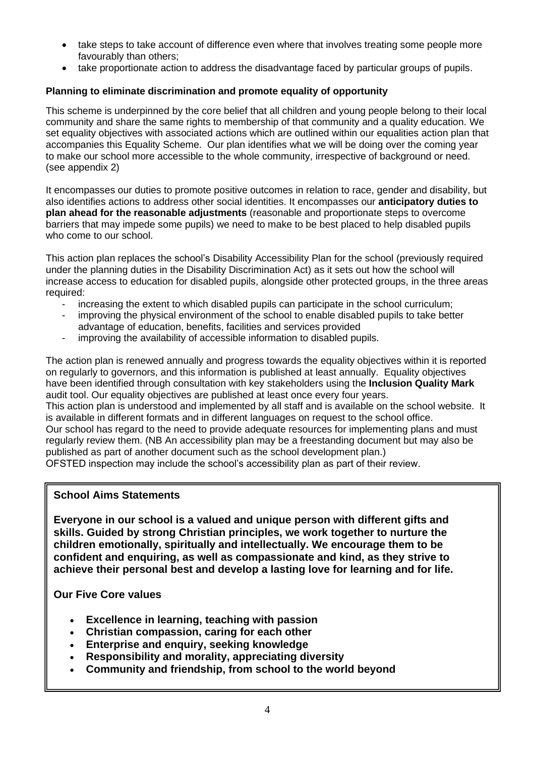- take steps to take account of difference even where that involves treating some people more favourably than others;
- take proportionate action to address the disadvantage faced by particular groups of pupils.

#### **Planning to eliminate discrimination and promote equality of opportunity**

This scheme is underpinned by the core belief that all children and young people belong to their local community and share the same rights to membership of that community and a quality education. We set equality objectives with associated actions which are outlined within our equalities action plan that accompanies this Equality Scheme. Our plan identifies what we will be doing over the coming year to make our school more accessible to the whole community, irrespective of background or need. (see appendix 2)

It encompasses our duties to promote positive outcomes in relation to race, gender and disability, but also identifies actions to address other social identities. It encompasses our **anticipatory duties to plan ahead for the reasonable adjustments** (reasonable and proportionate steps to overcome barriers that may impede some pupils) we need to make to be best placed to help disabled pupils who come to our school.

This action plan replaces the school's Disability Accessibility Plan for the school (previously required under the planning duties in the Disability Discrimination Act) as it sets out how the school will increase access to education for disabled pupils, alongside other protected groups, in the three areas required:

- increasing the extent to which disabled pupils can participate in the school curriculum;
- improving the physical environment of the school to enable disabled pupils to take better advantage of education, benefits, facilities and services provided
- improving the availability of accessible information to disabled pupils.

The action plan is renewed annually and progress towards the equality objectives within it is reported on regularly to governors, and this information is published at least annually. Equality objectives have been identified through consultation with key stakeholders using the **Inclusion Quality Mark** audit tool. Our equality objectives are published at least once every four years.

This action plan is understood and implemented by all staff and is available on the school website. It is available in different formats and in different languages on request to the school office. Our school has regard to the need to provide adequate resources for implementing plans and must

regularly review them. (NB An accessibility plan may be a freestanding document but may also be published as part of another document such as the school development plan.)

OFSTED inspection may include the school's accessibility plan as part of their review.

#### **School Aims Statements**

**Everyone in our school is a valued and unique person with different gifts and skills. Guided by strong Christian principles, we work together to nurture the children emotionally, spiritually and intellectually. We encourage them to be confident and enquiring, as well as compassionate and kind, as they strive to achieve their personal best and develop a lasting love for learning and for life.**

#### **Our Five Core values**

- **Excellence in learning, teaching with passion**
- **Christian compassion, caring for each other**
- **Enterprise and enquiry, seeking knowledge**
- **Responsibility and morality, appreciating diversity**
- **Community and friendship, from school to the world beyond**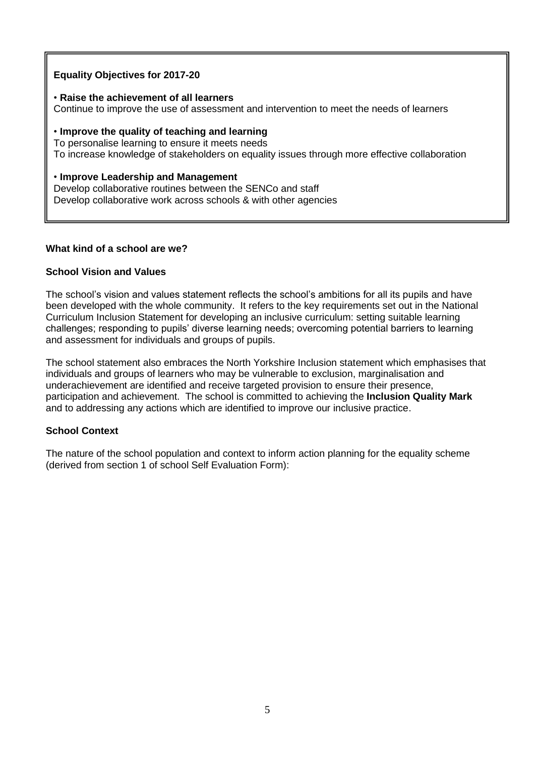#### **Equality Objectives for 2017-20**

#### • **Raise the achievement of all learners**

Continue to improve the use of assessment and intervention to meet the needs of learners

#### • **Improve the quality of teaching and learning**

To personalise learning to ensure it meets needs To increase knowledge of stakeholders on equality issues through more effective collaboration

#### • **Improve Leadership and Management**

Develop collaborative routines between the SENCo and staff Develop collaborative work across schools & with other agencies

#### **What kind of a school are we?**

#### **School Vision and Values**

The school's vision and values statement reflects the school's ambitions for all its pupils and have been developed with the whole community. It refers to the key requirements set out in the National Curriculum Inclusion Statement for developing an inclusive curriculum: setting suitable learning challenges; responding to pupils' diverse learning needs; overcoming potential barriers to learning and assessment for individuals and groups of pupils.

The school statement also embraces the North Yorkshire Inclusion statement which emphasises that individuals and groups of learners who may be vulnerable to exclusion, marginalisation and underachievement are identified and receive targeted provision to ensure their presence, participation and achievement. The school is committed to achieving the **Inclusion Quality Mark** and to addressing any actions which are identified to improve our inclusive practice.

#### **School Context**

The nature of the school population and context to inform action planning for the equality scheme (derived from section 1 of school Self Evaluation Form):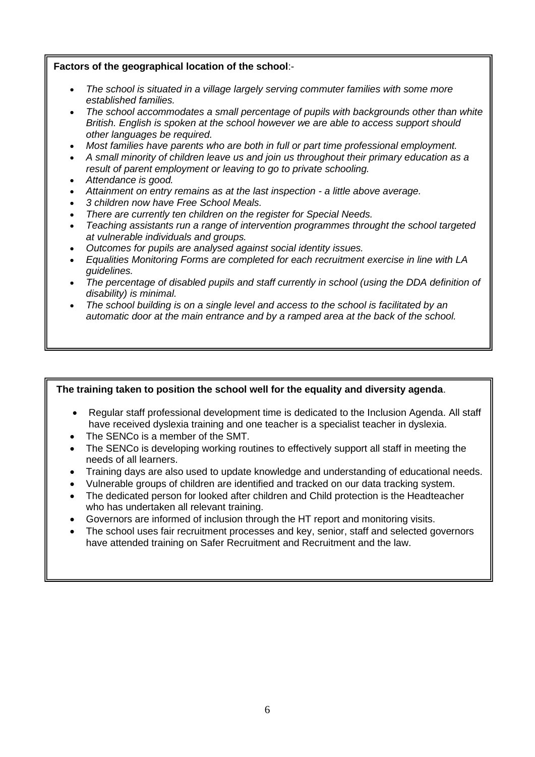#### **Factors of the geographical location of the school**:-

- *The school is situated in a village largely serving commuter families with some more established families.*
- *The school accommodates a small percentage of pupils with backgrounds other than white British. English is spoken at the school however we are able to access support should other languages be required.*
- *Most families have parents who are both in full or part time professional employment.*
- *A small minority of children leave us and join us throughout their primary education as a result of parent employment or leaving to go to private schooling.*
- *Attendance is good.*
- *Attainment on entry remains as at the last inspection - a little above average.*
- *3 children now have Free School Meals.*
- *There are currently ten children on the register for Special Needs.*
- *Teaching assistants run a range of intervention programmes throught the school targeted at vulnerable individuals and groups.*
- *Outcomes for pupils are analysed against social identity issues.*
- *Equalities Monitoring Forms are completed for each recruitment exercise in line with LA guidelines.*
- *The percentage of disabled pupils and staff currently in school (using the DDA definition of disability) is minimal.*
- *The school building is on a single level and access to the school is facilitated by an automatic door at the main entrance and by a ramped area at the back of the school.*

#### **The training taken to position the school well for the equality and diversity agenda**.

- Regular staff professional development time is dedicated to the Inclusion Agenda. All staff have received dyslexia training and one teacher is a specialist teacher in dyslexia.
- The SENCo is a member of the SMT.
- The SENCo is developing working routines to effectively support all staff in meeting the needs of all learners.
- Training days are also used to update knowledge and understanding of educational needs.
- Vulnerable groups of children are identified and tracked on our data tracking system.
- The dedicated person for looked after children and Child protection is the Headteacher who has undertaken all relevant training.
- Governors are informed of inclusion through the HT report and monitoring visits.
- The school uses fair recruitment processes and key, senior, staff and selected governors have attended training on Safer Recruitment and Recruitment and the law.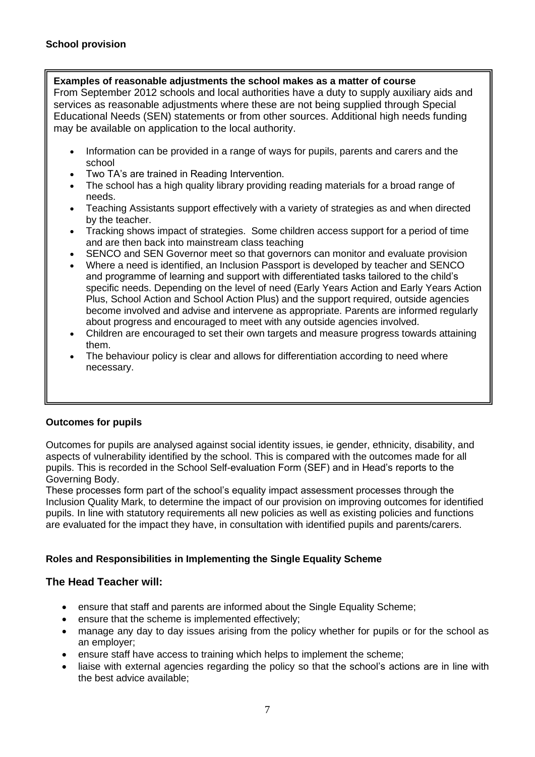#### **Examples of reasonable adjustments the school makes as a matter of course**

From September 2012 schools and local authorities have a duty to supply auxiliary aids and services as reasonable adjustments where these are not being supplied through Special Educational Needs (SEN) statements or from other sources. Additional high needs funding may be available on application to the local authority.

- Information can be provided in a range of ways for pupils, parents and carers and the school
- Two TA's are trained in Reading Intervention.
- The school has a high quality library providing reading materials for a broad range of needs.
- Teaching Assistants support effectively with a variety of strategies as and when directed by the teacher.
- Tracking shows impact of strategies. Some children access support for a period of time and are then back into mainstream class teaching
- SENCO and SEN Governor meet so that governors can monitor and evaluate provision
- Where a need is identified, an Inclusion Passport is developed by teacher and SENCO and programme of learning and support with differentiated tasks tailored to the child's specific needs. Depending on the level of need (Early Years Action and Early Years Action Plus, School Action and School Action Plus) and the support required, outside agencies become involved and advise and intervene as appropriate. Parents are informed regularly about progress and encouraged to meet with any outside agencies involved.
- Children are encouraged to set their own targets and measure progress towards attaining them.
- The behaviour policy is clear and allows for differentiation according to need where necessary.

#### **Outcomes for pupils**

Outcomes for pupils are analysed against social identity issues, ie gender, ethnicity, disability, and aspects of vulnerability identified by the school. This is compared with the outcomes made for all pupils. This is recorded in the School Self-evaluation Form (SEF) and in Head's reports to the Governing Body.

These processes form part of the school's equality impact assessment processes through the Inclusion Quality Mark, to determine the impact of our provision on improving outcomes for identified pupils. In line with statutory requirements all new policies as well as existing policies and functions are evaluated for the impact they have, in consultation with identified pupils and parents/carers.

#### **Roles and Responsibilities in Implementing the Single Equality Scheme**

#### **The Head Teacher will:**

- ensure that staff and parents are informed about the Single Equality Scheme;
- ensure that the scheme is implemented effectively;
- manage any day to day issues arising from the policy whether for pupils or for the school as an employer;
- ensure staff have access to training which helps to implement the scheme;
- liaise with external agencies regarding the policy so that the school's actions are in line with the best advice available;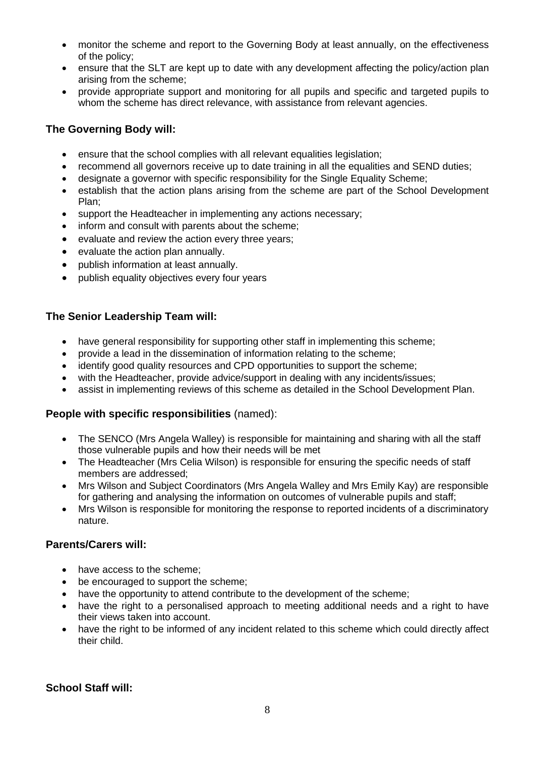- monitor the scheme and report to the Governing Body at least annually, on the effectiveness of the policy;
- ensure that the SLT are kept up to date with any development affecting the policy/action plan arising from the scheme;
- provide appropriate support and monitoring for all pupils and specific and targeted pupils to whom the scheme has direct relevance, with assistance from relevant agencies.

#### **The Governing Body will:**

- ensure that the school complies with all relevant equalities legislation;
- recommend all governors receive up to date training in all the equalities and SEND duties;
- designate a governor with specific responsibility for the Single Equality Scheme;
- establish that the action plans arising from the scheme are part of the School Development Plan;
- support the Headteacher in implementing any actions necessary;
- inform and consult with parents about the scheme:
- evaluate and review the action every three years;
- evaluate the action plan annually.
- publish information at least annually.
- publish equality objectives every four years

#### **The Senior Leadership Team will:**

- have general responsibility for supporting other staff in implementing this scheme;
- provide a lead in the dissemination of information relating to the scheme;
- identify good quality resources and CPD opportunities to support the scheme;
- with the Headteacher, provide advice/support in dealing with any incidents/issues;
- assist in implementing reviews of this scheme as detailed in the School Development Plan.

#### **People with specific responsibilities** (named):

- The SENCO (Mrs Angela Walley) is responsible for maintaining and sharing with all the staff those vulnerable pupils and how their needs will be met
- The Headteacher (Mrs Celia Wilson) is responsible for ensuring the specific needs of staff members are addressed;
- Mrs Wilson and Subject Coordinators (Mrs Angela Walley and Mrs Emily Kay) are responsible for gathering and analysing the information on outcomes of vulnerable pupils and staff;
- Mrs Wilson is responsible for monitoring the response to reported incidents of a discriminatory nature.

#### **Parents/Carers will:**

- have access to the scheme:
- be encouraged to support the scheme:
- have the opportunity to attend contribute to the development of the scheme;
- have the right to a personalised approach to meeting additional needs and a right to have their views taken into account.
- have the right to be informed of any incident related to this scheme which could directly affect their child.

#### **School Staff will:**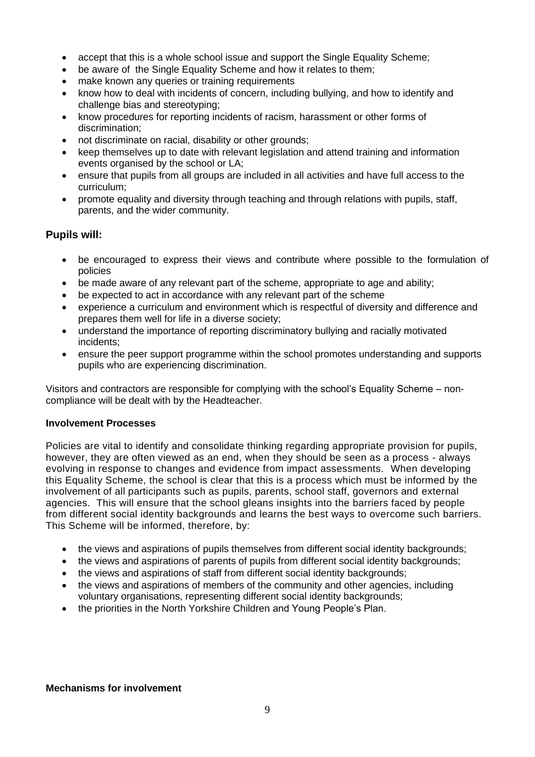- accept that this is a whole school issue and support the Single Equality Scheme;
- be aware of the Single Equality Scheme and how it relates to them;
- make known any queries or training requirements
- know how to deal with incidents of concern, including bullying, and how to identify and challenge bias and stereotyping;
- know procedures for reporting incidents of racism, harassment or other forms of discrimination;
- not discriminate on racial, disability or other grounds;
- keep themselves up to date with relevant legislation and attend training and information events organised by the school or LA;
- ensure that pupils from all groups are included in all activities and have full access to the curriculum;
- promote equality and diversity through teaching and through relations with pupils, staff, parents, and the wider community.

#### **Pupils will:**

- be encouraged to express their views and contribute where possible to the formulation of policies
- be made aware of any relevant part of the scheme, appropriate to age and ability;
- be expected to act in accordance with any relevant part of the scheme
- experience a curriculum and environment which is respectful of diversity and difference and prepares them well for life in a diverse society;
- understand the importance of reporting discriminatory bullying and racially motivated incidents;
- ensure the peer support programme within the school promotes understanding and supports pupils who are experiencing discrimination.

Visitors and contractors are responsible for complying with the school's Equality Scheme – noncompliance will be dealt with by the Headteacher.

#### **Involvement Processes**

Policies are vital to identify and consolidate thinking regarding appropriate provision for pupils, however, they are often viewed as an end, when they should be seen as a process - always evolving in response to changes and evidence from impact assessments. When developing this Equality Scheme, the school is clear that this is a process which must be informed by the involvement of all participants such as pupils, parents, school staff, governors and external agencies. This will ensure that the school gleans insights into the barriers faced by people from different social identity backgrounds and learns the best ways to overcome such barriers. This Scheme will be informed, therefore, by:

- the views and aspirations of pupils themselves from different social identity backgrounds;
- the views and aspirations of parents of pupils from different social identity backgrounds;
- the views and aspirations of staff from different social identity backgrounds;
- the views and aspirations of members of the community and other agencies, including voluntary organisations, representing different social identity backgrounds;
- the priorities in the North Yorkshire Children and Young People's Plan.

#### **Mechanisms for involvement**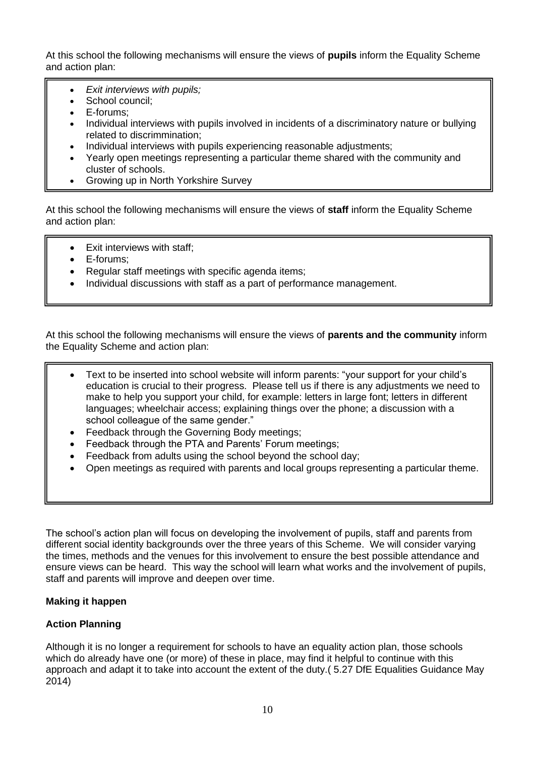At this school the following mechanisms will ensure the views of **pupils** inform the Equality Scheme and action plan:

- *Exit interviews with pupils;*
- School council:
- E-forums:
- Individual interviews with pupils involved in incidents of a discriminatory nature or bullying related to discrimmination;
- Individual interviews with pupils experiencing reasonable adjustments;
- Yearly open meetings representing a particular theme shared with the community and cluster of schools.
- Growing up in North Yorkshire Survey

At this school the following mechanisms will ensure the views of **staff** inform the Equality Scheme and action plan:

- Exit interviews with staff;
- E-forums:
- Regular staff meetings with specific agenda items;
- Individual discussions with staff as a part of performance management.

At this school the following mechanisms will ensure the views of **parents and the community** inform the Equality Scheme and action plan:

- Text to be inserted into school website will inform parents: "your support for your child's education is crucial to their progress. Please tell us if there is any adjustments we need to make to help you support your child, for example: letters in large font; letters in different languages; wheelchair access; explaining things over the phone; a discussion with a school colleague of the same gender."
- Feedback through the Governing Body meetings;
- Feedback through the PTA and Parents' Forum meetings;
- Feedback from adults using the school beyond the school day;
- Open meetings as required with parents and local groups representing a particular theme.

The school's action plan will focus on developing the involvement of pupils, staff and parents from different social identity backgrounds over the three years of this Scheme. We will consider varying the times, methods and the venues for this involvement to ensure the best possible attendance and ensure views can be heard. This way the school will learn what works and the involvement of pupils, staff and parents will improve and deepen over time.

#### **Making it happen**

#### **Action Planning**

Although it is no longer a requirement for schools to have an equality action plan, those schools which do already have one (or more) of these in place, may find it helpful to continue with this approach and adapt it to take into account the extent of the duty.( 5.27 DfE Equalities Guidance May 2014)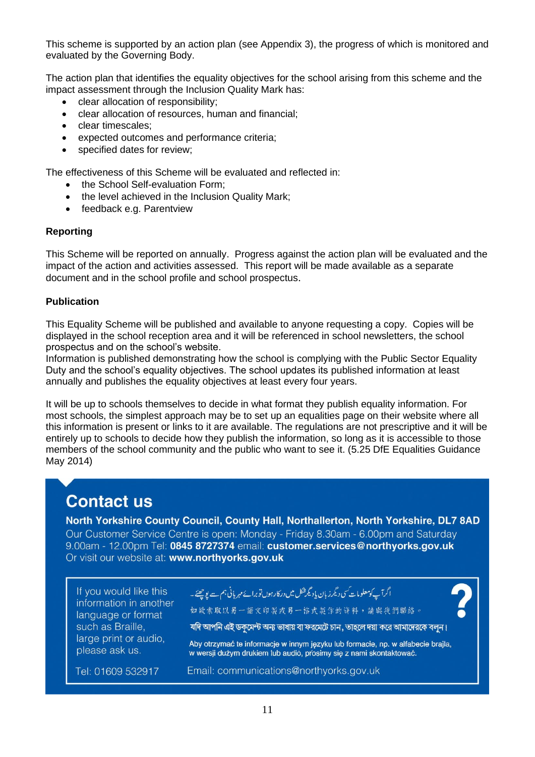This scheme is supported by an action plan (see Appendix 3), the progress of which is monitored and evaluated by the Governing Body.

The action plan that identifies the equality objectives for the school arising from this scheme and the impact assessment through the Inclusion Quality Mark has:

- clear allocation of responsibility;
- clear allocation of resources, human and financial;
- clear timescales;
- expected outcomes and performance criteria;
- specified dates for review:

The effectiveness of this Scheme will be evaluated and reflected in:

- the School Self-evaluation Form;
- the level achieved in the Inclusion Quality Mark;
- feedback e.g. Parentview

#### **Reporting**

This Scheme will be reported on annually. Progress against the action plan will be evaluated and the impact of the action and activities assessed. This report will be made available as a separate document and in the school profile and school prospectus.

#### **Publication**

This Equality Scheme will be published and available to anyone requesting a copy. Copies will be displayed in the school reception area and it will be referenced in school newsletters, the school prospectus and on the school's website.

Information is published demonstrating how the school is complying with the Public Sector Equality Duty and the school's equality objectives. The school updates its published information at least annually and publishes the equality objectives at least every four years.

It will be up to schools themselves to decide in what format they publish equality information. For most schools, the simplest approach may be to set up an equalities page on their website where all this information is present or links to it are available. The regulations are not prescriptive and it will be entirely up to schools to decide how they publish the information, so long as it is accessible to those members of the school community and the public who want to see it. (5.25 DfE Equalities Guidance May 2014)

## **Contact us**

North Yorkshire County Council, County Hall, Northallerton, North Yorkshire, DL7 8AD Our Customer Service Centre is open: Monday - Friday 8.30am - 6.00pm and Saturday 9.00am - 12.00pm Tel: 0845 8727374 email: customer.services@northyorks.gov.uk Or visit our website at: www.northyorks.gov.uk

If you would like this information in another language or format such as Braille, large print or audio, please ask us.

### ۔<br>اگر آپ کومعلومات کسی دیگر زبان یادیگرشکل میں درکار ہوں تو برائے مہر پانی ہم سے پوچھئے۔ 如缺索取以另一語文印製或另一格式製作的資料,請與我們聯絡。

যদি আপনি এই ডকমেন্ট অন্য ভাষায় বা ফরমেটে চান, তাহলে দয়া করে আমাদেরকে বলন।

Aby otrzymać te informacje w innym języku lub formacie, np. w alfabecie brajla, w wersji dużym drukiem lub audió, prosimy się z nami skontaktować.

Tel: 01609 532917

Email: communications@northyorks.gov.uk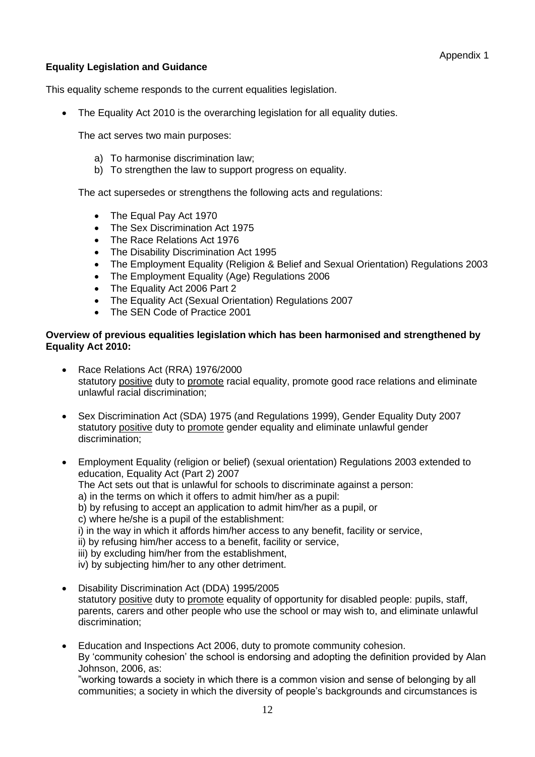#### **Equality Legislation and Guidance**

This equality scheme responds to the current equalities legislation.

• The Equality Act 2010 is the overarching legislation for all equality duties.

The act serves two main purposes:

- a) To harmonise discrimination law;
- b) To strengthen the law to support progress on equality.

The act supersedes or strengthens the following acts and regulations:

- The Equal Pay Act 1970
- The Sex Discrimination Act 1975
- The Race Relations Act 1976
- The Disability Discrimination Act 1995
- The Employment Equality (Religion & Belief and Sexual Orientation) Regulations 2003
- The Employment Equality (Age) Regulations 2006
- The Equality Act 2006 Part 2
- The Equality Act (Sexual Orientation) Regulations 2007
- The SEN Code of Practice 2001

#### **Overview of previous equalities legislation which has been harmonised and strengthened by Equality Act 2010:**

- Race Relations Act (RRA) 1976/2000 statutory positive duty to promote racial equality, promote good race relations and eliminate unlawful racial discrimination;
- Sex Discrimination Act (SDA) 1975 (and Regulations 1999), Gender Equality Duty 2007 statutory positive duty to promote gender equality and eliminate unlawful gender discrimination;
- Employment Equality (religion or belief) (sexual orientation) Regulations 2003 extended to education, Equality Act (Part 2) 2007
	- The Act sets out that is unlawful for schools to discriminate against a person:
	- a) in the terms on which it offers to admit him/her as a pupil:
	- b) by refusing to accept an application to admit him/her as a pupil, or

c) where he/she is a pupil of the establishment:

i) in the way in which it affords him/her access to any benefit, facility or service,

ii) by refusing him/her access to a benefit, facility or service,

iii) by excluding him/her from the establishment,

iv) by subjecting him/her to any other detriment.

- Disability Discrimination Act (DDA) 1995/2005 statutory positive duty to promote equality of opportunity for disabled people: pupils, staff, parents, carers and other people who use the school or may wish to, and eliminate unlawful discrimination;
- Education and Inspections Act 2006, duty to promote community cohesion. By 'community cohesion' the school is endorsing and adopting the definition provided by Alan Johnson, 2006, as:

"working towards a society in which there is a common vision and sense of belonging by all communities; a society in which the diversity of people's backgrounds and circumstances is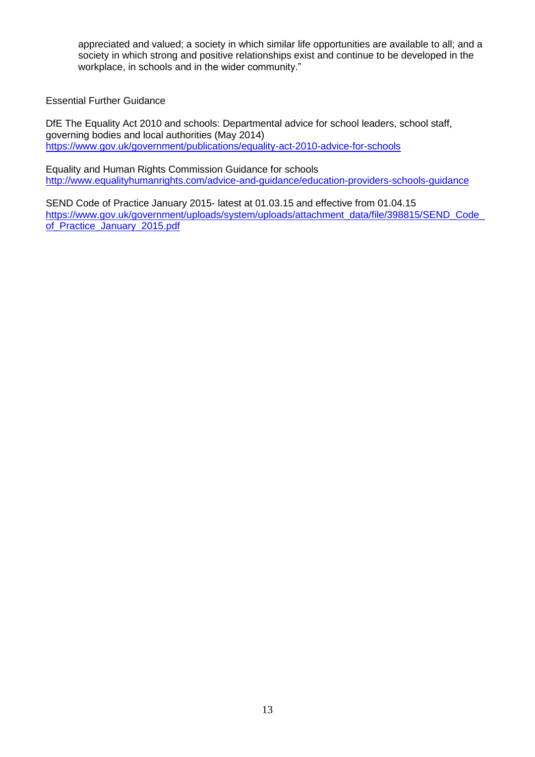appreciated and valued; a society in which similar life opportunities are available to all; and a society in which strong and positive relationships exist and continue to be developed in the workplace, in schools and in the wider community."

Essential Further Guidance

DfE The Equality Act 2010 and schools: Departmental advice for school leaders, school staff, governing bodies and local authorities (May 2014) <https://www.gov.uk/government/publications/equality-act-2010-advice-for-schools>

Equality and Human Rights Commission Guidance for schools <http://www.equalityhumanrights.com/advice-and-guidance/education-providers-schools-guidance>

SEND Code of Practice January 2015- latest at 01.03.15 and effective from 01.04.15 https://www.gov.uk/government/uploads/system/uploads/attachment\_data/file/398815/SEND\_Code [of\\_Practice\\_January\\_2015.pdf](https://www.gov.uk/government/uploads/system/uploads/attachment_data/file/398815/SEND_Code_of_Practice_January_2015.pdf)